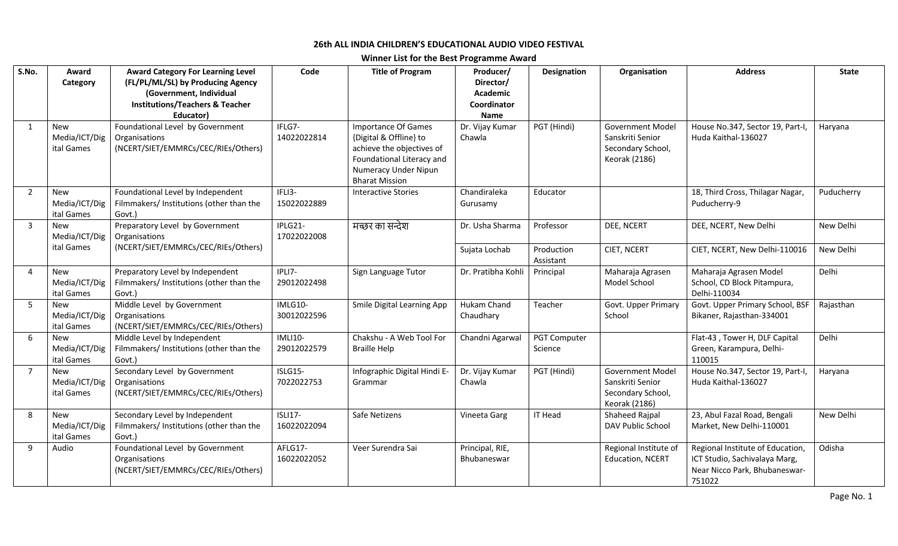## **26th ALL INDIA CHILDREN'S EDUCATIONAL AUDIO VIDEO FESTIVAL**

**Winner List for the Best Programme Award**

| S.No.            | Award<br>Category                         | <b>Award Category For Learning Level</b><br>(FL/PL/ML/SL) by Producing Agency<br>(Government, Individual<br><b>Institutions/Teachers &amp; Teacher</b> | Code                          | <b>Title of Program</b>                                                                                                                                         | Producer/<br>Director/<br>Academic<br>Coordinator | <b>Designation</b>      | Organisation                                                                      | <b>Address</b>                                                                                               | <b>State</b> |
|------------------|-------------------------------------------|--------------------------------------------------------------------------------------------------------------------------------------------------------|-------------------------------|-----------------------------------------------------------------------------------------------------------------------------------------------------------------|---------------------------------------------------|-------------------------|-----------------------------------------------------------------------------------|--------------------------------------------------------------------------------------------------------------|--------------|
| $\mathbf{1}$     | <b>New</b><br>Media/ICT/Dig<br>ital Games | Educator)<br>Foundational Level by Government<br>Organisations<br>(NCERT/SIET/EMMRCs/CEC/RIEs/Others)                                                  | IFLG7-<br>14022022814         | <b>Importance Of Games</b><br>{Digital & Offline} to<br>achieve the objectives of<br>Foundational Literacy and<br>Numeracy Under Nipun<br><b>Bharat Mission</b> | Name<br>Dr. Vijay Kumar<br>Chawla                 | PGT (Hindi)             | Government Model<br>Sanskriti Senior<br>Secondary School,<br><b>Keorak (2186)</b> | House No.347, Sector 19, Part-I,<br>Huda Kaithal-136027                                                      | Haryana      |
| $\overline{2}$   | New<br>Media/ICT/Dig<br>ital Games        | Foundational Level by Independent<br>Filmmakers/ Institutions (other than the<br>Govt.)                                                                | IFLI3-<br>15022022889         | <b>Interactive Stories</b>                                                                                                                                      | Chandiraleka<br>Gurusamy                          | Educator                |                                                                                   | 18, Third Cross, Thilagar Nagar,<br>Puducherry-9                                                             | Puducherry   |
| $\overline{3}$   | <b>New</b><br>Media/ICT/Dig               | Preparatory Level by Government<br>Organisations                                                                                                       | IPLG21-<br>17022022008        | मच्छर का सन्देश                                                                                                                                                 | Dr. Usha Sharma                                   | Professor               | DEE, NCERT                                                                        | DEE, NCERT, New Delhi                                                                                        | New Delhi    |
|                  | ital Games                                | (NCERT/SIET/EMMRCs/CEC/RIEs/Others)                                                                                                                    |                               |                                                                                                                                                                 | Sujata Lochab                                     | Production<br>Assistant | CIET, NCERT                                                                       | CIET, NCERT, New Delhi-110016                                                                                | New Delhi    |
| $\overline{4}$   | <b>New</b><br>Media/ICT/Dig<br>ital Games | Preparatory Level by Independent<br>Filmmakers/ Institutions (other than the<br>Govt.)                                                                 | IPLI7-<br>29012022498         | Sign Language Tutor                                                                                                                                             | Dr. Pratibha Kohli                                | Principal               | Maharaja Agrasen<br>Model School                                                  | Maharaja Agrasen Model<br>School, CD Block Pitampura,<br>Delhi-110034                                        | Delhi        |
| -5               | <b>New</b><br>Media/ICT/Dig<br>ital Games | Middle Level by Government<br>Organisations<br>(NCERT/SIET/EMMRCs/CEC/RIEs/Others)                                                                     | IMLG10-<br>30012022596        | Smile Digital Learning App                                                                                                                                      | Hukam Chand<br>Chaudhary                          | Teacher                 | Govt. Upper Primary<br>School                                                     | Govt. Upper Primary School, BSF<br>Bikaner, Rajasthan-334001                                                 | Rajasthan    |
| $6 \overline{6}$ | <b>New</b><br>Media/ICT/Dig<br>ital Games | Middle Level by Independent<br>Filmmakers/ Institutions (other than the<br>Govt.)                                                                      | <b>IMLI10-</b><br>29012022579 | Chakshu - A Web Tool For<br><b>Braille Help</b>                                                                                                                 | Chandni Agarwal                                   | PGT Computer<br>Science |                                                                                   | Flat-43, Tower H, DLF Capital<br>Green, Karampura, Delhi-<br>110015                                          | Delhi        |
| $\overline{7}$   | <b>New</b><br>Media/ICT/Dig<br>ital Games | Secondary Level by Government<br>Organisations<br>(NCERT/SIET/EMMRCs/CEC/RIEs/Others)                                                                  | ISLG15-<br>7022022753         | Infographic Digital Hindi E-<br>Grammar                                                                                                                         | Dr. Vijay Kumar<br>Chawla                         | PGT (Hindi)             | <b>Government Model</b><br>Sanskriti Senior<br>Secondary School,<br>Keorak (2186) | House No.347, Sector 19, Part-I,<br>Huda Kaithal-136027                                                      | Haryana      |
| 8                | <b>New</b><br>Media/ICT/Dig<br>ital Games | Secondary Level by Independent<br>Filmmakers/ Institutions (other than the<br>Govt.)                                                                   | <b>ISLI17-</b><br>16022022094 | Safe Netizens                                                                                                                                                   | Vineeta Garg                                      | <b>IT Head</b>          | Shaheed Rajpal<br>DAV Public School                                               | 23, Abul Fazal Road, Bengali<br>Market, New Delhi-110001                                                     | New Delhi    |
| -9               | Audio                                     | Foundational Level by Government<br>Organisations<br>(NCERT/SIET/EMMRCs/CEC/RIEs/Others)                                                               | AFLG17-<br>16022022052        | Veer Surendra Sai                                                                                                                                               | Principal, RIE,<br>Bhubaneswar                    |                         | Regional Institute of<br>Education, NCERT                                         | Regional Institute of Education,<br>ICT Studio, Sachivalaya Marg,<br>Near Nicco Park, Bhubaneswar-<br>751022 | Odisha       |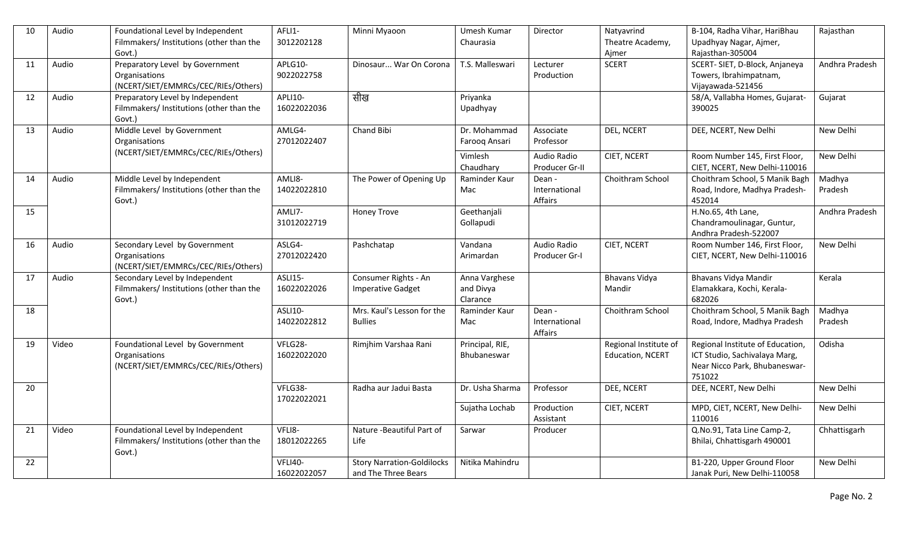| 10 | Audio | Foundational Level by Independent<br>Filmmakers/ Institutions (other than the            | AFLI1-<br>3012202128   | Minni Myaoon                                             | Umesh Kumar<br>Chaurasia               | Director                           | Natyavrind<br>Theatre Academy,            | B-104, Radha Vihar, HariBhau<br>Upadhyay Nagar, Ajmer,                                                       | Rajasthan         |
|----|-------|------------------------------------------------------------------------------------------|------------------------|----------------------------------------------------------|----------------------------------------|------------------------------------|-------------------------------------------|--------------------------------------------------------------------------------------------------------------|-------------------|
|    |       | Govt.)                                                                                   |                        |                                                          |                                        |                                    | Ajmer                                     | Rajasthan-305004                                                                                             |                   |
| 11 | Audio | Preparatory Level by Government<br>Organisations<br>(NCERT/SIET/EMMRCs/CEC/RIEs/Others)  | APLG10-<br>9022022758  | Dinosaur War On Corona                                   | T.S. Malleswari                        | Lecturer<br>Production             | <b>SCERT</b>                              | SCERT-SIET, D-Block, Anjaneya<br>Towers, Ibrahimpatnam,<br>Vijayawada-521456                                 | Andhra Pradesh    |
| 12 | Audio | Preparatory Level by Independent<br>Filmmakers/ Institutions (other than the<br>Govt.)   | APLI10-<br>16022022036 | सीख                                                      | Priyanka<br>Upadhyay                   |                                    |                                           | 58/A, Vallabha Homes, Gujarat-<br>390025                                                                     | Gujarat           |
| 13 | Audio | Middle Level by Government<br><b>Organisations</b>                                       | AMLG4-<br>27012022407  | Chand Bibi                                               | Dr. Mohammad<br>Farooq Ansari          | Associate<br>Professor             | DEL, NCERT                                | DEE, NCERT, New Delhi                                                                                        | New Delhi         |
|    |       | (NCERT/SIET/EMMRCs/CEC/RIEs/Others)                                                      |                        |                                                          | Vimlesh<br>Chaudhary                   | Audio Radio<br>Producer Gr-II      | CIET, NCERT                               | Room Number 145, First Floor,<br>CIET, NCERT, New Delhi-110016                                               | New Delhi         |
| 14 | Audio | Middle Level by Independent<br>Filmmakers/Institutions (other than the<br>Govt.)         | AMLI8-<br>14022022810  | The Power of Opening Up                                  | Raminder Kaur<br>Mac                   | Dean -<br>International<br>Affairs | Choithram School                          | Choithram School, 5 Manik Bagh<br>Road, Indore, Madhya Pradesh-<br>452014                                    | Madhya<br>Pradesh |
| 15 |       |                                                                                          | AMLI7-<br>31012022719  | <b>Honey Trove</b>                                       | Geethanjali<br>Gollapudi               |                                    |                                           | H.No.65, 4th Lane,<br>Chandramoulinagar, Guntur,<br>Andhra Pradesh-522007                                    | Andhra Pradesh    |
| 16 | Audio | Secondary Level by Government<br>Organisations<br>(NCERT/SIET/EMMRCs/CEC/RIEs/Others)    | ASLG4-<br>27012022420  | Pashchatap                                               | Vandana<br>Arimardan                   | Audio Radio<br>Producer Gr-I       | CIET, NCERT                               | Room Number 146, First Floor,<br>CIET, NCERT, New Delhi-110016                                               | New Delhi         |
| 17 | Audio | Secondary Level by Independent<br>Filmmakers/ Institutions (other than the<br>Govt.)     | ASLI15-<br>16022022026 | Consumer Rights - An<br><b>Imperative Gadget</b>         | Anna Varghese<br>and Divya<br>Clarance |                                    | <b>Bhavans Vidya</b><br>Mandir            | Bhavans Vidya Mandir<br>Elamakkara, Kochi, Kerala-<br>682026                                                 | Kerala            |
| 18 |       |                                                                                          | ASLI10-<br>14022022812 | Mrs. Kaul's Lesson for the<br><b>Bullies</b>             | Raminder Kaur<br>Mac                   | Dean -<br>International<br>Affairs | Choithram School                          | Choithram School, 5 Manik Bagh<br>Road, Indore, Madhya Pradesh                                               | Madhya<br>Pradesh |
| 19 | Video | Foundational Level by Government<br>Organisations<br>(NCERT/SIET/EMMRCs/CEC/RIEs/Others) | VFLG28-<br>16022022020 | Rimjhim Varshaa Rani                                     | Principal, RIE,<br>Bhubaneswar         |                                    | Regional Institute of<br>Education, NCERT | Regional Institute of Education,<br>ICT Studio, Sachivalaya Marg,<br>Near Nicco Park, Bhubaneswar-<br>751022 | Odisha            |
| 20 |       |                                                                                          | VFLG38-<br>17022022021 | Radha aur Jadui Basta                                    | Dr. Usha Sharma                        | Professor                          | DEE, NCERT                                | DEE, NCERT, New Delhi                                                                                        | New Delhi         |
|    |       |                                                                                          |                        |                                                          | Sujatha Lochab                         | Production<br>Assistant            | CIET, NCERT                               | MPD, CIET, NCERT, New Delhi-<br>110016                                                                       | New Delhi         |
| 21 | Video | Foundational Level by Independent<br>Filmmakers/ Institutions (other than the<br>Govt.)  | VFLI8-<br>18012022265  | Nature - Beautiful Part of<br>Life                       | Sarwar                                 | Producer                           |                                           | Q.No.91, Tata Line Camp-2,<br>Bhilai, Chhattisgarh 490001                                                    | Chhattisgarh      |
| 22 |       |                                                                                          | VFLI40-<br>16022022057 | <b>Story Narration-Goldilocks</b><br>and The Three Bears | Nitika Mahindru                        |                                    |                                           | B1-220, Upper Ground Floor<br>Janak Puri, New Delhi-110058                                                   | New Delhi         |